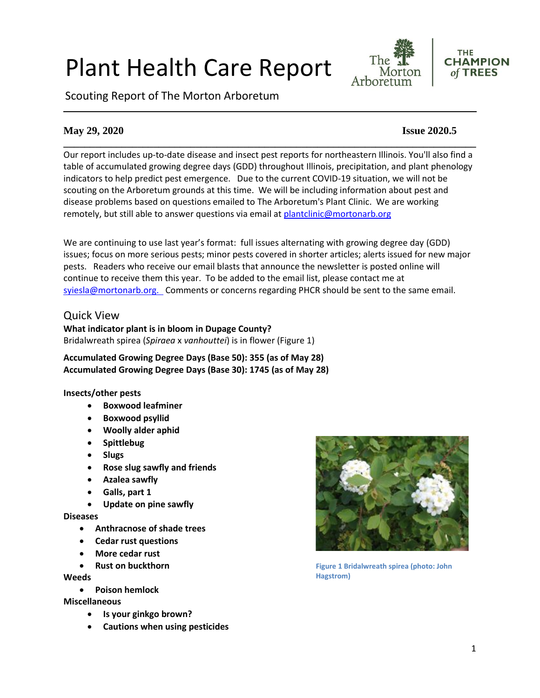# Plant Health Care Report

Scouting Report of The Morton Arboretum





#### **May 29, 2020 Issue 2020.5**

**\_\_\_\_\_\_\_\_\_\_\_\_\_\_\_\_\_\_\_\_\_\_\_\_\_\_\_\_\_\_\_\_\_\_\_\_\_\_\_\_\_\_\_\_\_\_\_\_\_\_\_\_\_\_\_\_\_\_\_\_\_\_\_\_\_\_\_\_\_\_\_\_\_\_\_\_\_\_** Our report includes up-to-date disease and insect pest reports for northeastern Illinois. You'll also find a table of accumulated growing degree days (GDD) throughout Illinois, precipitation, and plant phenology indicators to help predict pest emergence. Due to the current COVID-19 situation, we will not be scouting on the Arboretum grounds at this time. We will be including information about pest and disease problems based on questions emailed to The Arboretum's Plant Clinic. We are working remotely, but still able to answer questions via email at [plantclinic@mortonarb.org](mailto:plantclinic@mortonarb.org)

We are continuing to use last year's format: full issues alternating with growing degree day (GDD) issues; focus on more serious pests; minor pests covered in shorter articles; alerts issued for new major pests. Readers who receive our email blasts that announce the newsletter is posted online will continue to receive them this year. To be added to the email list, please contact me at [syiesla@mortonarb.org.](mailto:syiesla@mortonarb.org) Comments or concerns regarding PHCR should be sent to the same email.

#### Quick View

**What indicator plant is in bloom in Dupage County?** Bridalwreath spirea (*Spiraea* x *vanhouttei*) is in flower (Figure 1)

**Accumulated Growing Degree Days (Base 50): 355 (as of May 28) Accumulated Growing Degree Days (Base 30): 1745 (as of May 28)**

#### **Insects/other pests**

- **Boxwood leafminer**
- **Boxwood psyllid**
- **Woolly alder aphid**
- **Spittlebug**
- **Slugs**
- **Rose slug sawfly and friends**
- **Azalea sawfly**
- **Galls, part 1**
- **Update on pine sawfly**

#### **Diseases**

- **Anthracnose of shade trees**
- **Cedar rust questions**
- **More cedar rust**
- **Rust on buckthorn**

#### **Weeds**

• **Poison hemlock**

#### **Miscellaneous**

- **Is your ginkgo brown?**
- **Cautions when using pesticides**



**Figure 1 Bridalwreath spirea (photo: John Hagstrom)**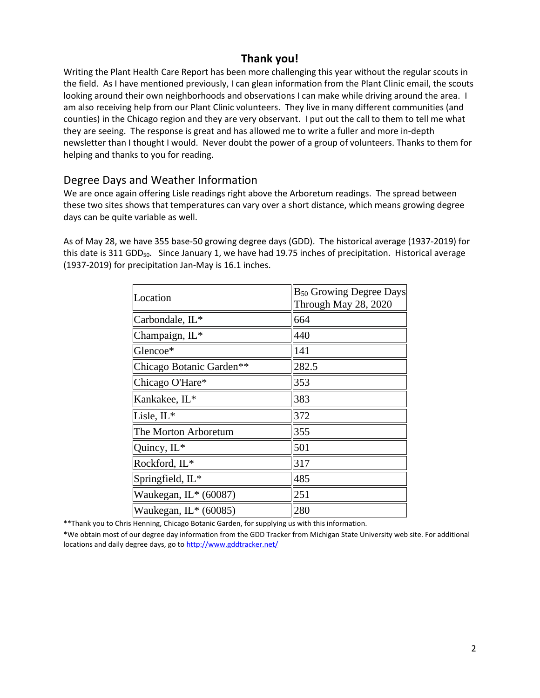# **Thank you!**

Writing the Plant Health Care Report has been more challenging this year without the regular scouts in the field. As I have mentioned previously, I can glean information from the Plant Clinic email, the scouts looking around their own neighborhoods and observations I can make while driving around the area. I am also receiving help from our Plant Clinic volunteers. They live in many different communities (and counties) in the Chicago region and they are very observant. I put out the call to them to tell me what they are seeing. The response is great and has allowed me to write a fuller and more in-depth newsletter than I thought I would. Never doubt the power of a group of volunteers. Thanks to them for helping and thanks to you for reading.

#### Degree Days and Weather Information

We are once again offering Lisle readings right above the Arboretum readings. The spread between these two sites shows that temperatures can vary over a short distance, which means growing degree days can be quite variable as well.

As of May 28, we have 355 base-50 growing degree days (GDD). The historical average (1937-2019) for this date is 311 GDD<sub>50</sub>. Since January 1, we have had 19.75 inches of precipitation. Historical average (1937-2019) for precipitation Jan-May is 16.1 inches.

| Location                 | B <sub>50</sub> Growing Degree Days<br>Through May 28, 2020 |
|--------------------------|-------------------------------------------------------------|
| Carbondale, IL*          | 664                                                         |
| Champaign, IL*           | 440                                                         |
| Glencoe*                 | 141                                                         |
| Chicago Botanic Garden** | 282.5                                                       |
| Chicago O'Hare*          | 353                                                         |
| Kankakee, IL*            | 383                                                         |
| Lisle, IL*               | 372                                                         |
| The Morton Arboretum     | 355                                                         |
| Quincy, IL*              | 501                                                         |
| Rockford, IL*            | 317                                                         |
| Springfield, IL*         | 485                                                         |
| Waukegan, $IL*$ (60087)  | 251                                                         |
| Waukegan, $IL^*(60085)$  | 280                                                         |

\*\*Thank you to Chris Henning, Chicago Botanic Garden, for supplying us with this information.

\*We obtain most of our degree day information from the GDD Tracker from Michigan State University web site. For additional locations and daily degree days, go t[o http://www.gddtracker.net/](http://www.gddtracker.net/)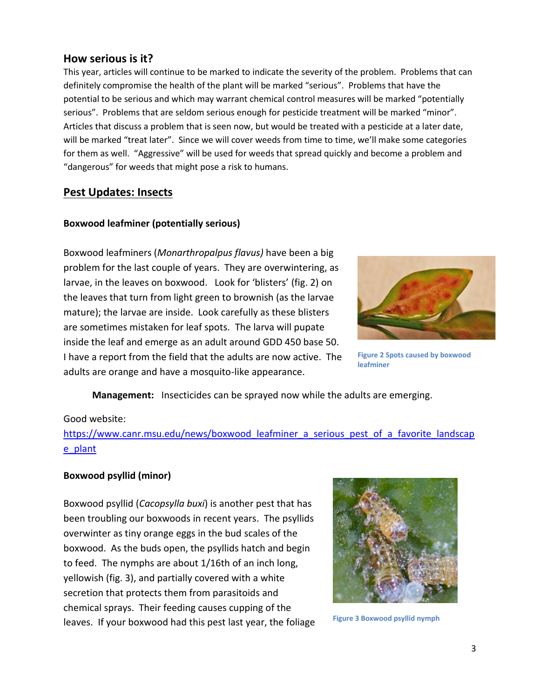#### **How serious is it?**

This year, articles will continue to be marked to indicate the severity of the problem. Problems that can definitely compromise the health of the plant will be marked "serious".Problems that have the potential to be serious and which may warrant chemical control measures will be marked "potentially serious". Problems that are seldom serious enough for pesticide treatment will be marked "minor". Articles that discuss a problem that is seen now, but would be treated with a pesticide at a later date, will be marked "treat later". Since we will cover weeds from time to time, we'll make some categories for them as well. "Aggressive" will be used for weeds that spread quickly and become a problem and "dangerous" for weeds that might pose a risk to humans.

## **Pest Updates: Insects**

#### **Boxwood leafminer (potentially serious)**

Boxwood leafminers (*Monarthropalpus flavus)* have been a big problem for the last couple of years. They are overwintering, as larvae, in the leaves on boxwood. Look for 'blisters' (fig. 2) on the leaves that turn from light green to brownish (as the larvae mature); the larvae are inside. Look carefully as these blisters are sometimes mistaken for leaf spots. The larva will pupate inside the leaf and emerge as an adult around GDD 450 base 50. I have a report from the field that the adults are now active. The adults are orange and have a mosquito-like appearance.



**Figure 2 Spots caused by boxwood leafminer**

**Management:** Insecticides can be sprayed now while the adults are emerging.

#### Good website:

https://www.canr.msu.edu/news/boxwood leafminer a serious pest of a favorite landscap [e\\_plant](https://www.canr.msu.edu/news/boxwood_leafminer_a_serious_pest_of_a_favorite_landscape_plant)

#### **Boxwood psyllid (minor)**

Boxwood psyllid (*Cacopsylla buxi*) is another pest that has been troubling our boxwoods in recent years. The psyllids overwinter as tiny orange eggs in the bud scales of the boxwood. As the buds open, the psyllids hatch and begin to feed. The nymphs are about 1/16th of an inch long, yellowish (fig. 3), and partially covered with a white secretion that protects them from parasitoids and chemical sprays. Their feeding causes cupping of the leaves. If your boxwood had this pest last year, the foliage



**Figure 3 Boxwood psyllid nymph**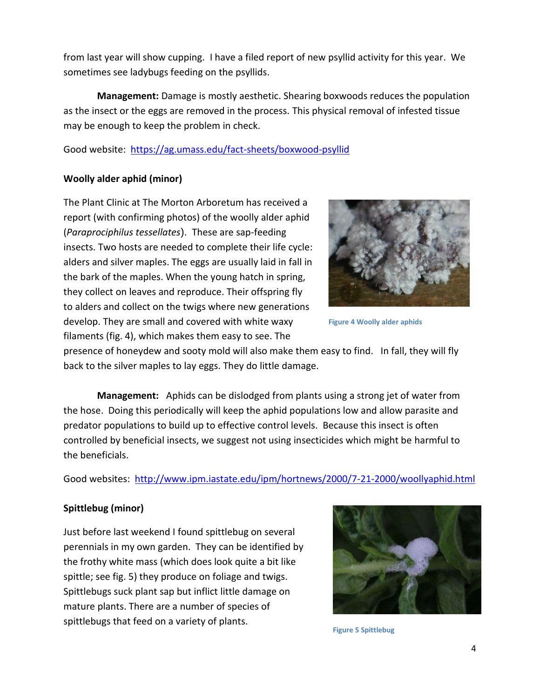from last year will show cupping. I have a filed report of new psyllid activity for this year. We sometimes see ladybugs feeding on the psyllids.

**Management:** Damage is mostly aesthetic. Shearing boxwoods reduces the population as the insect or the eggs are removed in the process. This physical removal of infested tissue may be enough to keep the problem in check.

Good website: <https://ag.umass.edu/fact-sheets/boxwood-psyllid>

#### **Woolly alder aphid (minor)**

The Plant Clinic at The Morton Arboretum has received a report (with confirming photos) of the woolly alder aphid (*Paraprociphilus tessellates*). These are sap-feeding insects. Two hosts are needed to complete their life cycle: alders and silver maples. The eggs are usually laid in fall in the bark of the maples. When the young hatch in spring, they collect on leaves and reproduce. Their offspring fly to alders and collect on the twigs where new generations develop. They are small and covered with white waxy filaments (fig. 4), which makes them easy to see. The



**Figure 4 Woolly alder aphids**

presence of honeydew and sooty mold will also make them easy to find. In fall, they will fly back to the silver maples to lay eggs. They do little damage.

**Management:** Aphids can be dislodged from plants using a strong jet of water from the hose. Doing this periodically will keep the aphid populations low and allow parasite and predator populations to build up to effective control levels. Because this insect is often controlled by beneficial insects, we suggest not using insecticides which might be harmful to the beneficials.

Good websites: <http://www.ipm.iastate.edu/ipm/hortnews/2000/7-21-2000/woollyaphid.html>

#### **Spittlebug (minor)**

Just before last weekend I found spittlebug on several perennials in my own garden. They can be identified by the frothy white mass (which does look quite a bit like spittle; see fig. 5) they produce on foliage and twigs. Spittlebugs suck plant sap but inflict little damage on mature plants. There are a number of species of spittlebugs that feed on a variety of plants.



**Figure 5 Spittlebug**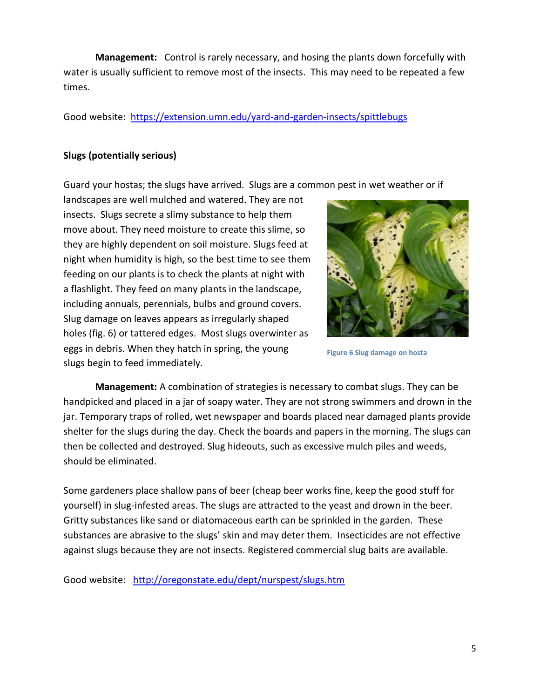**Management:** Control is rarely necessary, and hosing the plants down forcefully with water is usually sufficient to remove most of the insects. This may need to be repeated a few times.

Good website: <https://extension.umn.edu/yard-and-garden-insects/spittlebugs>

#### **Slugs (potentially serious)**

Guard your hostas; the slugs have arrived. Slugs are a common pest in wet weather or if

landscapes are well mulched and watered. They are not insects. Slugs secrete a slimy substance to help them move about. They need moisture to create this slime, so they are highly dependent on soil moisture. Slugs feed at night when humidity is high, so the best time to see them feeding on our plants is to check the plants at night with a flashlight. They feed on many plants in the landscape, including annuals, perennials, bulbs and ground covers. Slug damage on leaves appears as irregularly shaped holes (fig. 6) or tattered edges. Most slugs overwinter as eggs in debris. When they hatch in spring, the young slugs begin to feed immediately.



**Figure 6 Slug damage on hosta**

**Management:** A combination of strategies is necessary to combat slugs. They can be handpicked and placed in a jar of soapy water. They are not strong swimmers and drown in the jar. Temporary traps of rolled, wet newspaper and boards placed near damaged plants provide shelter for the slugs during the day. Check the boards and papers in the morning. The slugs can then be collected and destroyed. Slug hideouts, such as excessive mulch piles and weeds, should be eliminated.

Some gardeners place shallow pans of beer (cheap beer works fine, keep the good stuff for yourself) in slug-infested areas. The slugs are attracted to the yeast and drown in the beer. Gritty substances like sand or diatomaceous earth can be sprinkled in the garden. These substances are abrasive to the slugs' skin and may deter them. Insecticides are not effective against slugs because they are not insects. Registered commercial slug baits are available.

Good website: <http://oregonstate.edu/dept/nurspest/slugs.htm>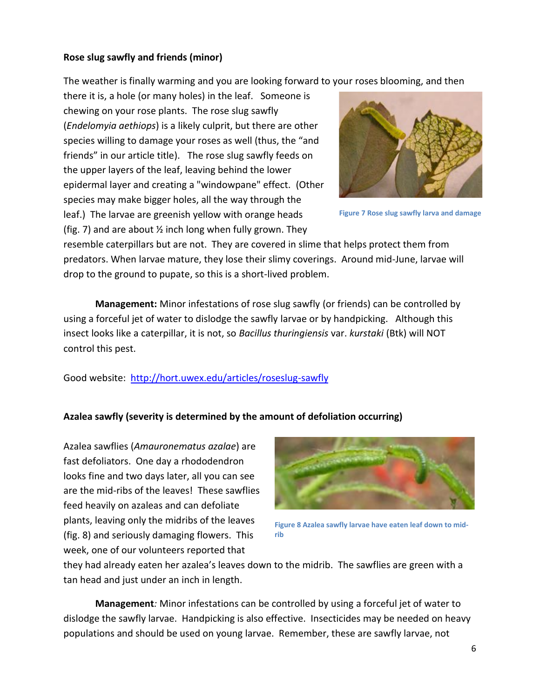#### **Rose slug sawfly and friends (minor)**

The weather is finally warming and you are looking forward to your roses blooming, and then

there it is, a hole (or many holes) in the leaf. Someone is chewing on your rose plants. The rose slug sawfly (*Endelomyia aethiops*) is a likely culprit, but there are other species willing to damage your roses as well (thus, the "and friends" in our article title). The rose slug sawfly feeds on the upper layers of the leaf, leaving behind the lower epidermal layer and creating a "windowpane" effect. (Other species may make bigger holes, all the way through the leaf.) The larvae are greenish yellow with orange heads (fig. 7) and are about  $\frac{1}{2}$  inch long when fully grown. They



**Figure 7 Rose slug sawfly larva and damage**

resemble caterpillars but are not. They are covered in slime that helps protect them from predators. When larvae mature, they lose their slimy coverings. Around mid-June, larvae will drop to the ground to pupate, so this is a short-lived problem.

**Management:** Minor infestations of rose slug sawfly (or friends) can be controlled by using a forceful jet of water to dislodge the sawfly larvae or by handpicking. Although this insect looks like a caterpillar, it is not, so *Bacillus thuringiensis* var. *kurstaki* (Btk) will NOT control this pest.

Good website:<http://hort.uwex.edu/articles/roseslug-sawfly>

#### **Azalea sawfly (severity is determined by the amount of defoliation occurring)**

Azalea sawflies (*Amauronematus azalae*) are fast defoliators. One day a rhododendron looks fine and two days later, all you can see are the mid-ribs of the leaves! These sawflies feed heavily on azaleas and can defoliate plants, leaving only the midribs of the leaves (fig. 8) and seriously damaging flowers. This week, one of our volunteers reported that



**Figure 8 Azalea sawfly larvae have eaten leaf down to midrib**

they had already eaten her azalea's leaves down to the midrib. The sawflies are green with a tan head and just under an inch in length.

**Management***:* Minor infestations can be controlled by using a forceful jet of water to dislodge the sawfly larvae. Handpicking is also effective. Insecticides may be needed on heavy populations and should be used on young larvae. Remember, these are sawfly larvae, not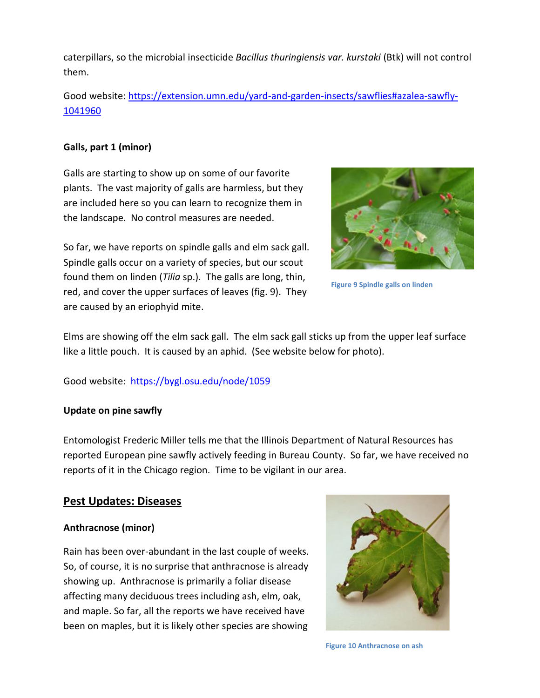caterpillars, so the microbial insecticide *Bacillus thuringiensis var. kurstaki* (Btk) will not control them.

Good website: [https://extension.umn.edu/yard-and-garden-insects/sawflies#azalea-sawfly-](https://extension.umn.edu/yard-and-garden-insects/sawflies#azalea-sawfly-1041960)[1041960](https://extension.umn.edu/yard-and-garden-insects/sawflies#azalea-sawfly-1041960)

#### **Galls, part 1 (minor)**

Galls are starting to show up on some of our favorite plants. The vast majority of galls are harmless, but they are included here so you can learn to recognize them in the landscape. No control measures are needed.

So far, we have reports on spindle galls and elm sack gall. Spindle galls occur on a variety of species, but our scout found them on linden (*Tilia* sp.). The galls are long, thin, red, and cover the upper surfaces of leaves (fig. 9). They are caused by an eriophyid mite.



**Figure 9 Spindle galls on linden**

Elms are showing off the elm sack gall. The elm sack gall sticks up from the upper leaf surface like a little pouch. It is caused by an aphid. (See website below for photo).

Good website: <https://bygl.osu.edu/node/1059>

#### **Update on pine sawfly**

Entomologist Frederic Miller tells me that the Illinois Department of Natural Resources has reported European pine sawfly actively feeding in Bureau County. So far, we have received no reports of it in the Chicago region. Time to be vigilant in our area.

# **Pest Updates: Diseases**

#### **Anthracnose (minor)**

Rain has been over-abundant in the last couple of weeks. So, of course, it is no surprise that anthracnose is already showing up. Anthracnose is primarily a foliar disease affecting many deciduous trees including ash, elm, oak, and maple. So far, all the reports we have received have been on maples, but it is likely other species are showing



**Figure 10 Anthracnose on ash**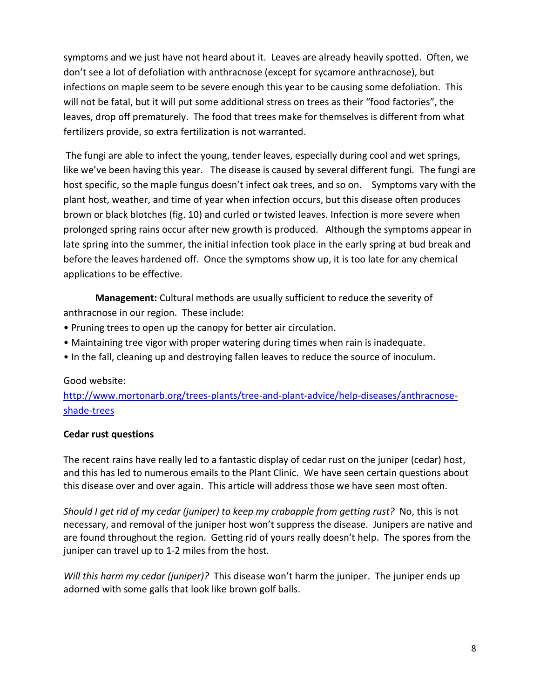symptoms and we just have not heard about it. Leaves are already heavily spotted. Often, we don't see a lot of defoliation with anthracnose (except for sycamore anthracnose), but infections on maple seem to be severe enough this year to be causing some defoliation. This will not be fatal, but it will put some additional stress on trees as their "food factories", the leaves, drop off prematurely. The food that trees make for themselves is different from what fertilizers provide, so extra fertilization is not warranted.

The fungi are able to infect the young, tender leaves, especially during cool and wet springs, like we've been having this year. The disease is caused by several different fungi*.* The fungi are host specific, so the maple fungus doesn't infect oak trees, and so on. Symptoms vary with the plant host, weather, and time of year when infection occurs, but this disease often produces brown or black blotches (fig. 10) and curled or twisted leaves. Infection is more severe when prolonged spring rains occur after new growth is produced. Although the symptoms appear in late spring into the summer, the initial infection took place in the early spring at bud break and before the leaves hardened off. Once the symptoms show up, it is too late for any chemical applications to be effective.

**Management:** Cultural methods are usually sufficient to reduce the severity of anthracnose in our region. These include:

- Pruning trees to open up the canopy for better air circulation.
- Maintaining tree vigor with proper watering during times when rain is inadequate.
- In the fall, cleaning up and destroying fallen leaves to reduce the source of inoculum.

#### Good website:

[http://www.mortonarb.org/trees-plants/tree-and-plant-advice/help-diseases/anthracnose](http://www.mortonarb.org/trees-plants/tree-and-plant-advice/help-diseases/anthracnose-shade-trees)[shade-trees](http://www.mortonarb.org/trees-plants/tree-and-plant-advice/help-diseases/anthracnose-shade-trees)

#### **Cedar rust questions**

The recent rains have really led to a fantastic display of cedar rust on the juniper (cedar) host, and this has led to numerous emails to the Plant Clinic. We have seen certain questions about this disease over and over again. This article will address those we have seen most often.

*Should I get rid of my cedar (juniper) to keep my crabapple from getting rust?* No, this is not necessary, and removal of the juniper host won't suppress the disease. Junipers are native and are found throughout the region. Getting rid of yours really doesn't help. The spores from the juniper can travel up to 1-2 miles from the host.

*Will this harm my cedar (juniper)?* This disease won't harm the juniper. The juniper ends up adorned with some galls that look like brown golf balls.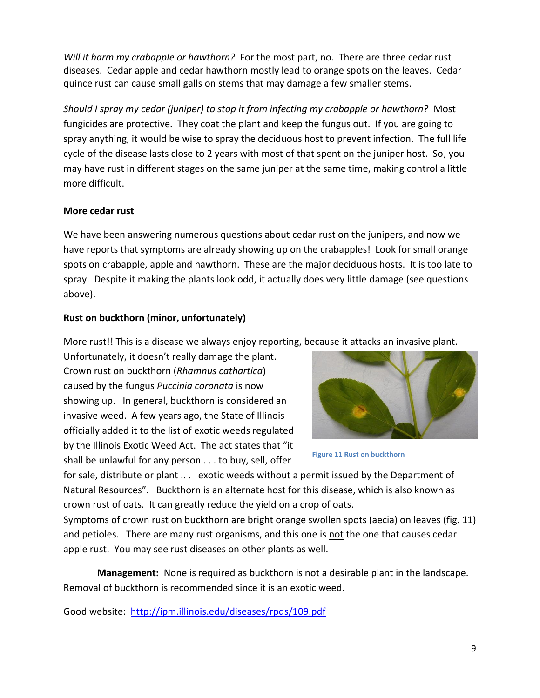*Will it harm my crabapple or hawthorn?* For the most part, no. There are three cedar rust diseases. Cedar apple and cedar hawthorn mostly lead to orange spots on the leaves. Cedar quince rust can cause small galls on stems that may damage a few smaller stems.

*Should I spray my cedar (juniper) to stop it from infecting my crabapple or hawthorn?* Most fungicides are protective. They coat the plant and keep the fungus out. If you are going to spray anything, it would be wise to spray the deciduous host to prevent infection. The full life cycle of the disease lasts close to 2 years with most of that spent on the juniper host. So, you may have rust in different stages on the same juniper at the same time, making control a little more difficult.

## **More cedar rust**

We have been answering numerous questions about cedar rust on the junipers, and now we have reports that symptoms are already showing up on the crabapples! Look for small orange spots on crabapple, apple and hawthorn. These are the major deciduous hosts. It is too late to spray. Despite it making the plants look odd, it actually does very little damage (see questions above).

# **Rust on buckthorn (minor, unfortunately)**

More rust!! This is a disease we always enjoy reporting, because it attacks an invasive plant.

Unfortunately, it doesn't really damage the plant. Crown rust on buckthorn (*Rhamnus cathartica*) caused by the fungus *Puccinia coronata* is now showing up. In general, buckthorn is considered an invasive weed. A few years ago, the State of Illinois officially added it to the list of exotic weeds regulated by the Illinois Exotic Weed Act. The act states that "it shall be unlawful for any person . . . to buy, sell, offer



**Figure 11 Rust on buckthorn**

for sale, distribute or plant ... exotic weeds without a permit issued by the Department of Natural Resources". Buckthorn is an alternate host for this disease, which is also known as crown rust of oats. It can greatly reduce the yield on a crop of oats.

Symptoms of crown rust on buckthorn are bright orange swollen spots (aecia) on leaves (fig. 11) and petioles. There are many rust organisms, and this one is not the one that causes cedar apple rust. You may see rust diseases on other plants as well.

 **Management:** None is required as buckthorn is not a desirable plant in the landscape. Removal of buckthorn is recommended since it is an exotic weed.

Good website: <http://ipm.illinois.edu/diseases/rpds/109.pdf>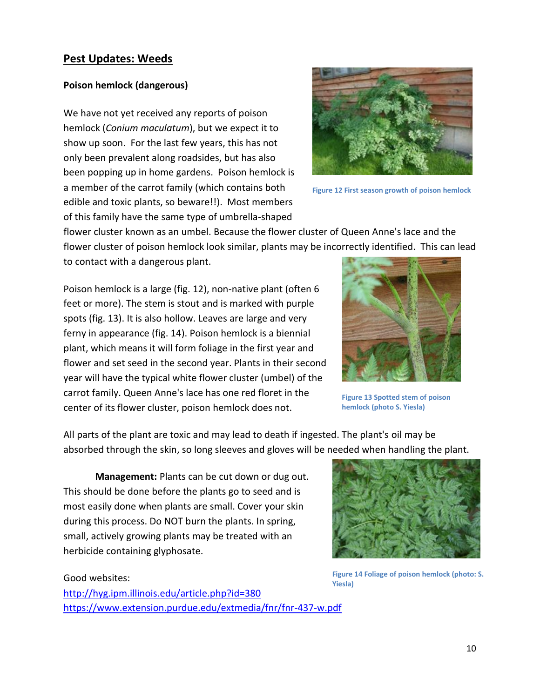#### **Pest Updates: Weeds**

#### **Poison hemlock (dangerous)**

We have not yet received any reports of poison hemlock (*Conium maculatum*), but we expect it to show up soon. For the last few years, this has not only been prevalent along roadsides, but has also been popping up in home gardens. Poison hemlock is a member of the carrot family (which contains both edible and toxic plants, so beware!!). Most members of this family have the same type of umbrella-shaped



**Figure 12 First season growth of poison hemlock**

flower cluster known as an umbel. Because the flower cluster of Queen Anne's lace and the flower cluster of poison hemlock look similar, plants may be incorrectly identified. This can lead to contact with a dangerous plant.

Poison hemlock is a large (fig. 12), non-native plant (often 6 feet or more). The stem is stout and is marked with purple spots (fig. 13). It is also hollow. Leaves are large and very ferny in appearance (fig. 14). Poison hemlock is a biennial plant, which means it will form foliage in the first year and flower and set seed in the second year. Plants in their second year will have the typical white flower cluster (umbel) of the carrot family. Queen Anne's lace has one red floret in the center of its flower cluster, poison hemlock does not.



**Figure 13 Spotted stem of poison hemlock (photo S. Yiesla)**

All parts of the plant are toxic and may lead to death if ingested. The plant's oil may be absorbed through the skin, so long sleeves and gloves will be needed when handling the plant.

**Management:** Plants can be cut down or dug out. This should be done before the plants go to seed and is most easily done when plants are small. Cover your skin during this process. Do NOT burn the plants. In spring, small, actively growing plants may be treated with an herbicide containing glyphosate.

#### Good websites:

<http://hyg.ipm.illinois.edu/article.php?id=380> <https://www.extension.purdue.edu/extmedia/fnr/fnr-437-w.pdf>



**Figure 14 Foliage of poison hemlock (photo: S. Yiesla)**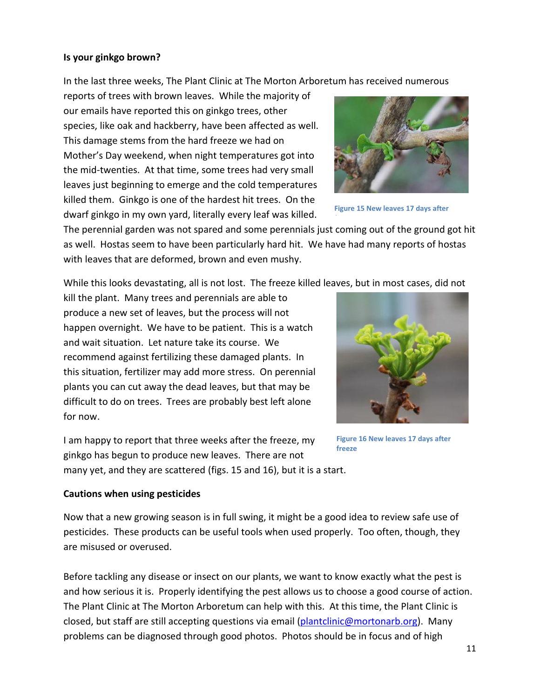#### **Is your ginkgo brown?**

In the last three weeks, The Plant Clinic at The Morton Arboretum has received numerous

reports of trees with brown leaves. While the majority of our emails have reported this on ginkgo trees, other species, like oak and hackberry, have been affected as well. This damage stems from the hard freeze we had on Mother's Day weekend, when night temperatures got into the mid-twenties. At that time, some trees had very small leaves just beginning to emerge and the cold temperatures killed them. Ginkgo is one of the hardest hit trees. On the dwarf ginkgo in my own yard, literally every leaf was killed.



**Figure 15 New leaves 17 days after** 

The perennial garden was not spared and some perennials just coming out of the ground got hit as well. Hostas seem to have been particularly hard hit. We have had many reports of hostas with leaves that are deformed, brown and even mushy.

While this looks devastating, all is not lost. The freeze killed leaves, but in most cases, did not

kill the plant. Many trees and perennials are able to produce a new set of leaves, but the process will not happen overnight. We have to be patient. This is a watch and wait situation. Let nature take its course. We recommend against fertilizing these damaged plants. In this situation, fertilizer may add more stress. On perennial plants you can cut away the dead leaves, but that may be difficult to do on trees. Trees are probably best left alone for now.

I am happy to report that three weeks after the freeze, my ginkgo has begun to produce new leaves. There are not many yet, and they are scattered (figs. 15 and 16), but it is a start.



**Figure 16 New leaves 17 days after freeze**

#### **Cautions when using pesticides**

Now that a new growing season is in full swing, it might be a good idea to review safe use of pesticides. These products can be useful tools when used properly. Too often, though, they are misused or overused.

Before tackling any disease or insect on our plants, we want to know exactly what the pest is and how serious it is. Properly identifying the pest allows us to choose a good course of action. The Plant Clinic at The Morton Arboretum can help with this. At this time, the Plant Clinic is closed, but staff are still accepting questions via email [\(plantclinic@mortonarb.org\)](mailto:plantclinic@mortonarb.org). Many problems can be diagnosed through good photos. Photos should be in focus and of high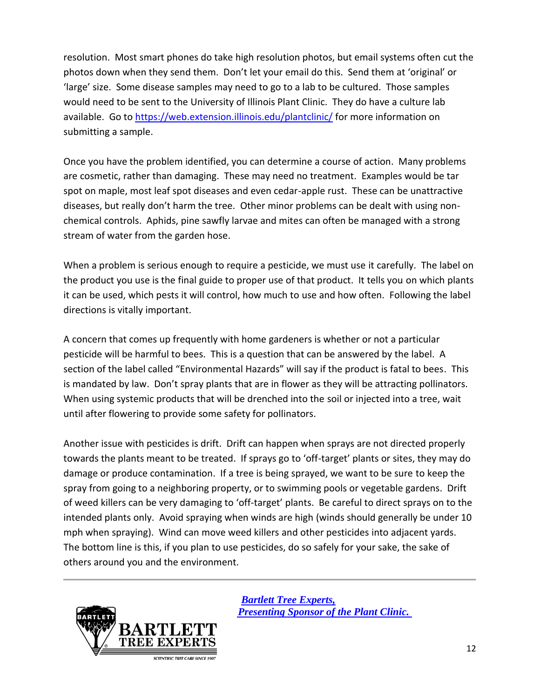resolution. Most smart phones do take high resolution photos, but email systems often cut the photos down when they send them. Don't let your email do this. Send them at 'original' or 'large' size. Some disease samples may need to go to a lab to be cultured. Those samples would need to be sent to the University of Illinois Plant Clinic. They do have a culture lab available. Go to<https://web.extension.illinois.edu/plantclinic/> for more information on submitting a sample.

Once you have the problem identified, you can determine a course of action. Many problems are cosmetic, rather than damaging. These may need no treatment. Examples would be tar spot on maple, most leaf spot diseases and even cedar-apple rust. These can be unattractive diseases, but really don't harm the tree. Other minor problems can be dealt with using nonchemical controls. Aphids, pine sawfly larvae and mites can often be managed with a strong stream of water from the garden hose.

When a problem is serious enough to require a pesticide, we must use it carefully. The label on the product you use is the final guide to proper use of that product. It tells you on which plants it can be used, which pests it will control, how much to use and how often. Following the label directions is vitally important.

A concern that comes up frequently with home gardeners is whether or not a particular pesticide will be harmful to bees. This is a question that can be answered by the label. A section of the label called "Environmental Hazards" will say if the product is fatal to bees. This is mandated by law. Don't spray plants that are in flower as they will be attracting pollinators. When using systemic products that will be drenched into the soil or injected into a tree, wait until after flowering to provide some safety for pollinators.

Another issue with pesticides is drift. Drift can happen when sprays are not directed properly towards the plants meant to be treated. If sprays go to 'off-target' plants or sites, they may do damage or produce contamination. If a tree is being sprayed, we want to be sure to keep the spray from going to a neighboring property, or to swimming pools or vegetable gardens. Drift of weed killers can be very damaging to 'off-target' plants. Be careful to direct sprays on to the intended plants only. Avoid spraying when winds are high (winds should generally be under 10 mph when spraying). Wind can move weed killers and other pesticides into adjacent yards. The bottom line is this, if you plan to use pesticides, do so safely for your sake, the sake of others around you and the environment.



 *[Bartlett Tree Experts,](http://www.bartlett.com/)   [Presenting Sponsor of the Plant Clinic.](http://www.bartlett.com/)*